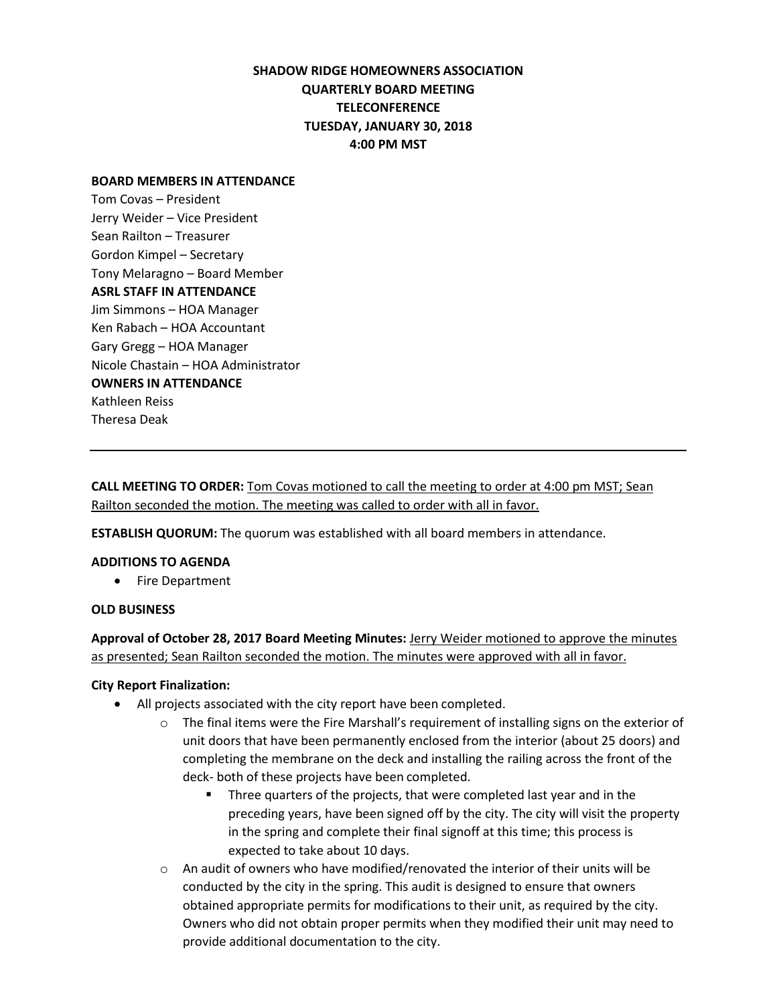# **SHADOW RIDGE HOMEOWNERS ASSOCIATION QUARTERLY BOARD MEETING TELECONFERENCE TUESDAY, JANUARY 30, 2018 4:00 PM MST**

#### **BOARD MEMBERS IN ATTENDANCE**

Tom Covas – President Jerry Weider – Vice President Sean Railton – Treasurer Gordon Kimpel – Secretary Tony Melaragno – Board Member **ASRL STAFF IN ATTENDANCE** Jim Simmons – HOA Manager Ken Rabach – HOA Accountant Gary Gregg – HOA Manager Nicole Chastain – HOA Administrator **OWNERS IN ATTENDANCE** Kathleen Reiss Theresa Deak

**CALL MEETING TO ORDER:** Tom Covas motioned to call the meeting to order at 4:00 pm MST; Sean Railton seconded the motion. The meeting was called to order with all in favor.

**ESTABLISH QUORUM:** The quorum was established with all board members in attendance.

#### **ADDITIONS TO AGENDA**

• Fire Department

### **OLD BUSINESS**

**Approval of October 28, 2017 Board Meeting Minutes:** Jerry Weider motioned to approve the minutes as presented; Sean Railton seconded the motion. The minutes were approved with all in favor.

### **City Report Finalization:**

- All projects associated with the city report have been completed.
	- $\circ$  The final items were the Fire Marshall's requirement of installing signs on the exterior of unit doors that have been permanently enclosed from the interior (about 25 doors) and completing the membrane on the deck and installing the railing across the front of the deck- both of these projects have been completed.
		- Three quarters of the projects, that were completed last year and in the preceding years, have been signed off by the city. The city will visit the property in the spring and complete their final signoff at this time; this process is expected to take about 10 days.
	- $\circ$  An audit of owners who have modified/renovated the interior of their units will be conducted by the city in the spring. This audit is designed to ensure that owners obtained appropriate permits for modifications to their unit, as required by the city. Owners who did not obtain proper permits when they modified their unit may need to provide additional documentation to the city.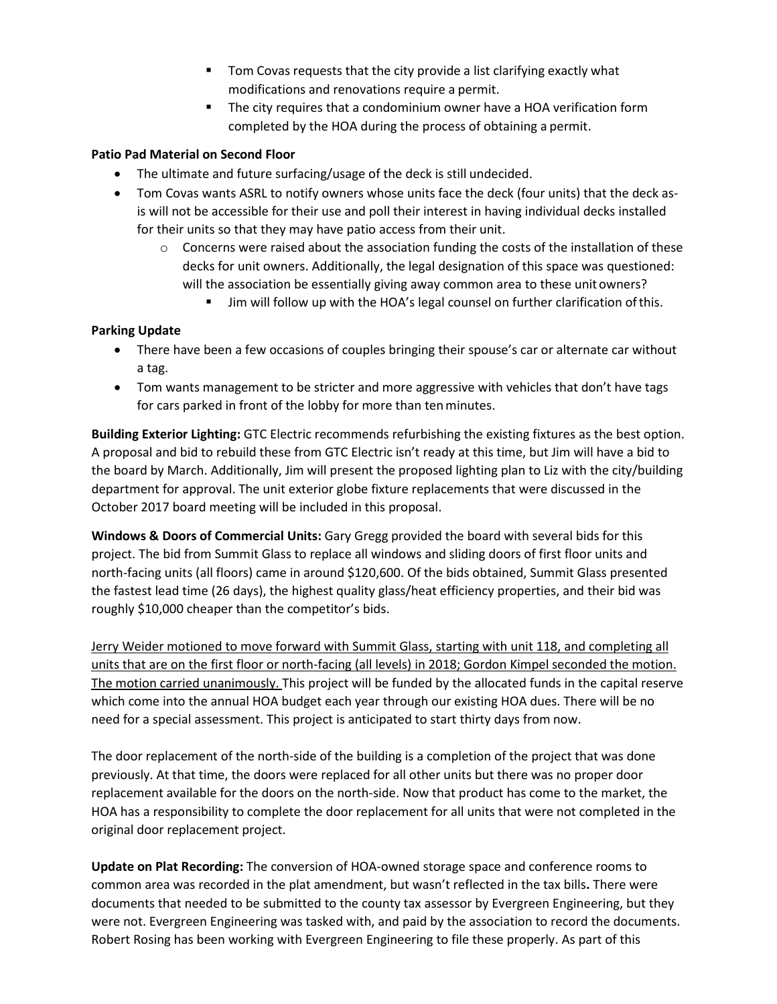- Tom Covas requests that the city provide a list clarifying exactly what modifications and renovations require a permit.
- The city requires that a condominium owner have a HOA verification form completed by the HOA during the process of obtaining a permit.

# **Patio Pad Material on Second Floor**

- The ultimate and future surfacing/usage of the deck is still undecided.
- Tom Covas wants ASRL to notify owners whose units face the deck (four units) that the deck asis will not be accessible for their use and poll their interest in having individual decks installed for their units so that they may have patio access from their unit.
	- $\circ$  Concerns were raised about the association funding the costs of the installation of these decks for unit owners. Additionally, the legal designation of this space was questioned: will the association be essentially giving away common area to these unit owners?
		- **IF Jim will follow up with the HOA's legal counsel on further clarification of this.**

# **Parking Update**

- There have been a few occasions of couples bringing their spouse's car or alternate car without a tag.
- Tom wants management to be stricter and more aggressive with vehicles that don't have tags for cars parked in front of the lobby for more than tenminutes.

**Building Exterior Lighting:** GTC Electric recommends refurbishing the existing fixtures as the best option. A proposal and bid to rebuild these from GTC Electric isn't ready at this time, but Jim will have a bid to the board by March. Additionally, Jim will present the proposed lighting plan to Liz with the city/building department for approval. The unit exterior globe fixture replacements that were discussed in the October 2017 board meeting will be included in this proposal.

**Windows & Doors of Commercial Units:** Gary Gregg provided the board with several bids for this project. The bid from Summit Glass to replace all windows and sliding doors of first floor units and north-facing units (all floors) came in around \$120,600. Of the bids obtained, Summit Glass presented the fastest lead time (26 days), the highest quality glass/heat efficiency properties, and their bid was roughly \$10,000 cheaper than the competitor's bids.

Jerry Weider motioned to move forward with Summit Glass, starting with unit 118, and completing all units that are on the first floor or north-facing (all levels) in 2018; Gordon Kimpel seconded the motion. The motion carried unanimously. This project will be funded by the allocated funds in the capital reserve which come into the annual HOA budget each year through our existing HOA dues. There will be no need for a special assessment. This project is anticipated to start thirty days from now.

The door replacement of the north-side of the building is a completion of the project that was done previously. At that time, the doors were replaced for all other units but there was no proper door replacement available for the doors on the north-side. Now that product has come to the market, the HOA has a responsibility to complete the door replacement for all units that were not completed in the original door replacement project.

**Update on Plat Recording:** The conversion of HOA-owned storage space and conference rooms to common area was recorded in the plat amendment, but wasn't reflected in the tax bills**.** There were documents that needed to be submitted to the county tax assessor by Evergreen Engineering, but they were not. Evergreen Engineering was tasked with, and paid by the association to record the documents. Robert Rosing has been working with Evergreen Engineering to file these properly. As part of this